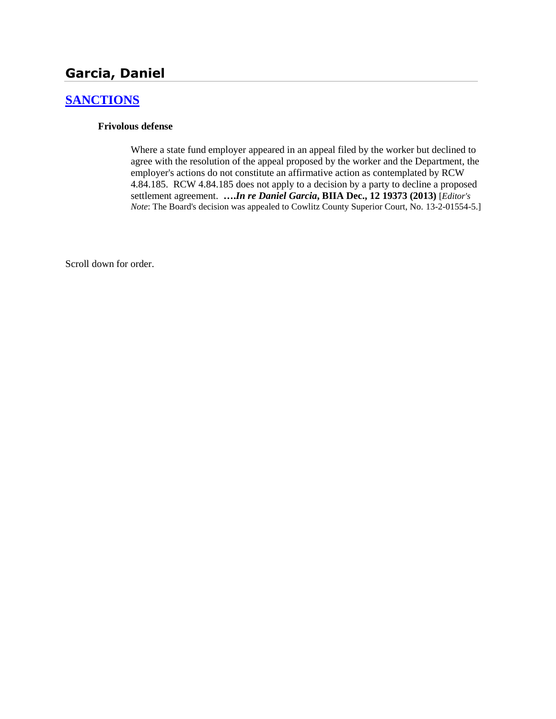# **Garcia, Daniel**

## **[SANCTIONS](http://www.biia.wa.gov/SDSubjectIndex.html#SANCTIONS)**

### **Frivolous defense**

Where a state fund employer appeared in an appeal filed by the worker but declined to agree with the resolution of the appeal proposed by the worker and the Department, the employer's actions do not constitute an affirmative action as contemplated by RCW 4.84.185. RCW 4.84.185 does not apply to a decision by a party to decline a proposed settlement agreement. **….***In re Daniel Garcia***, BIIA Dec., 12 19373 (2013)** [*Editor's Note*: The Board's decision was appealed to Cowlitz County Superior Court, No. 13-2-01554-5.]

Scroll down for order.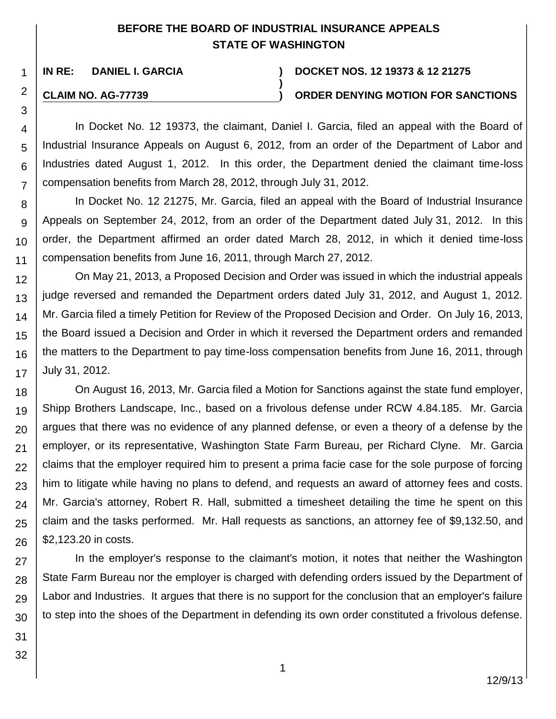# **BEFORE THE BOARD OF INDUSTRIAL INSURANCE APPEALS STATE OF WASHINGTON**

**)**

### **IN RE: DANIEL I. GARCIA ) DOCKET NOS. 12 19373 & 12 21275**

### **CLAIM NO. AG-77739 ) ORDER DENYING MOTION FOR SANCTIONS**

In Docket No. 12 19373, the claimant, Daniel I. Garcia, filed an appeal with the Board of Industrial Insurance Appeals on August 6, 2012, from an order of the Department of Labor and Industries dated August 1, 2012. In this order, the Department denied the claimant time-loss compensation benefits from March 28, 2012, through July 31, 2012.

In Docket No. 12 21275, Mr. Garcia, filed an appeal with the Board of Industrial Insurance Appeals on September 24, 2012, from an order of the Department dated July 31, 2012. In this order, the Department affirmed an order dated March 28, 2012, in which it denied time-loss compensation benefits from June 16, 2011, through March 27, 2012.

On May 21, 2013, a Proposed Decision and Order was issued in which the industrial appeals judge reversed and remanded the Department orders dated July 31, 2012, and August 1, 2012. Mr. Garcia filed a timely Petition for Review of the Proposed Decision and Order. On July 16, 2013, the Board issued a Decision and Order in which it reversed the Department orders and remanded the matters to the Department to pay time-loss compensation benefits from June 16, 2011, through July 31, 2012.

24 25 26 On August 16, 2013, Mr. Garcia filed a Motion for Sanctions against the state fund employer, Shipp Brothers Landscape, Inc., based on a frivolous defense under RCW 4.84.185. Mr. Garcia argues that there was no evidence of any planned defense, or even a theory of a defense by the employer, or its representative, Washington State Farm Bureau, per Richard Clyne. Mr. Garcia claims that the employer required him to present a prima facie case for the sole purpose of forcing him to litigate while having no plans to defend, and requests an award of attorney fees and costs. Mr. Garcia's attorney, Robert R. Hall, submitted a timesheet detailing the time he spent on this claim and the tasks performed. Mr. Hall requests as sanctions, an attorney fee of \$9,132.50, and \$2,123.20 in costs.

27 28 29 30 In the employer's response to the claimant's motion, it notes that neither the Washington State Farm Bureau nor the employer is charged with defending orders issued by the Department of Labor and Industries. It argues that there is no support for the conclusion that an employer's failure to step into the shoes of the Department in defending its own order constituted a frivolous defense.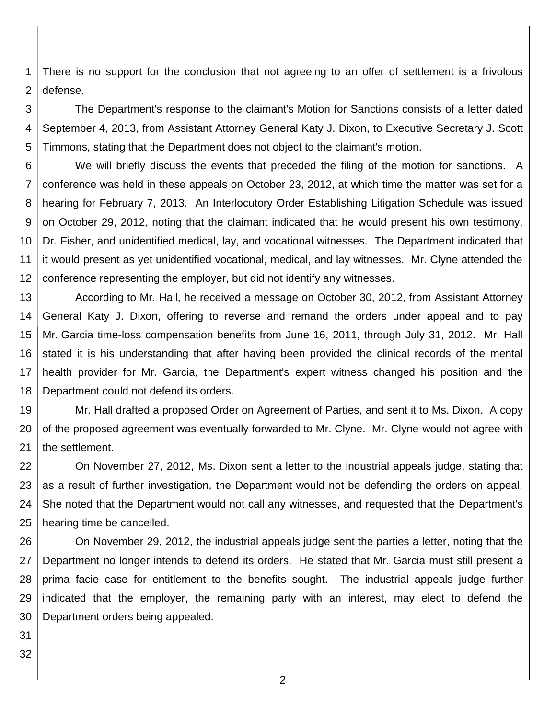1 2 There is no support for the conclusion that not agreeing to an offer of settlement is a frivolous defense.

3 4 5 The Department's response to the claimant's Motion for Sanctions consists of a letter dated September 4, 2013, from Assistant Attorney General Katy J. Dixon, to Executive Secretary J. Scott Timmons, stating that the Department does not object to the claimant's motion.

6 7 8 9 10 11 12 We will briefly discuss the events that preceded the filing of the motion for sanctions. A conference was held in these appeals on October 23, 2012, at which time the matter was set for a hearing for February 7, 2013. An Interlocutory Order Establishing Litigation Schedule was issued on October 29, 2012, noting that the claimant indicated that he would present his own testimony, Dr. Fisher, and unidentified medical, lay, and vocational witnesses. The Department indicated that it would present as yet unidentified vocational, medical, and lay witnesses. Mr. Clyne attended the conference representing the employer, but did not identify any witnesses.

13 14 15 16 17 18 According to Mr. Hall, he received a message on October 30, 2012, from Assistant Attorney General Katy J. Dixon, offering to reverse and remand the orders under appeal and to pay Mr. Garcia time-loss compensation benefits from June 16, 2011, through July 31, 2012. Mr. Hall stated it is his understanding that after having been provided the clinical records of the mental health provider for Mr. Garcia, the Department's expert witness changed his position and the Department could not defend its orders.

19 20 21 Mr. Hall drafted a proposed Order on Agreement of Parties, and sent it to Ms. Dixon. A copy of the proposed agreement was eventually forwarded to Mr. Clyne. Mr. Clyne would not agree with the settlement.

22 23 24 25 On November 27, 2012, Ms. Dixon sent a letter to the industrial appeals judge, stating that as a result of further investigation, the Department would not be defending the orders on appeal. She noted that the Department would not call any witnesses, and requested that the Department's hearing time be cancelled.

26 27 28 29 30 On November 29, 2012, the industrial appeals judge sent the parties a letter, noting that the Department no longer intends to defend its orders. He stated that Mr. Garcia must still present a prima facie case for entitlement to the benefits sought. The industrial appeals judge further indicated that the employer, the remaining party with an interest, may elect to defend the Department orders being appealed.

31

32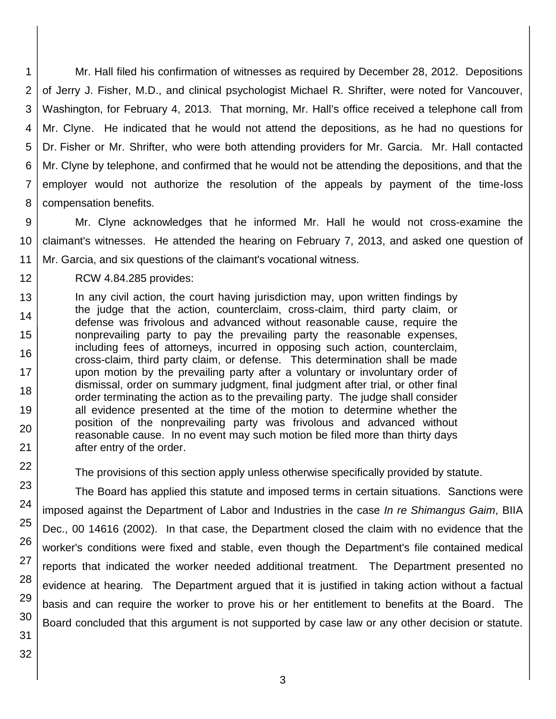1 2 3 4 5 6 7 8 Mr. Hall filed his confirmation of witnesses as required by December 28, 2012. Depositions of Jerry J. Fisher, M.D., and clinical psychologist Michael R. Shrifter, were noted for Vancouver, Washington, for February 4, 2013. That morning, Mr. Hall's office received a telephone call from Mr. Clyne. He indicated that he would not attend the depositions, as he had no questions for Dr. Fisher or Mr. Shrifter, who were both attending providers for Mr. Garcia. Mr. Hall contacted Mr. Clyne by telephone, and confirmed that he would not be attending the depositions, and that the employer would not authorize the resolution of the appeals by payment of the time-loss compensation benefits.

9 10 11 Mr. Clyne acknowledges that he informed Mr. Hall he would not cross-examine the claimant's witnesses. He attended the hearing on February 7, 2013, and asked one question of Mr. Garcia, and six questions of the claimant's vocational witness.

12

22

23

24

25

26

27

28

29

30

31

32

RCW 4.84.285 provides:

13 14 15 16 17 18 19 20 21 In any civil action, the court having jurisdiction may, upon written findings by the judge that the action, counterclaim, cross-claim, third party claim, or defense was frivolous and advanced without reasonable cause, require the nonprevailing party to pay the prevailing party the reasonable expenses, including fees of attorneys, incurred in opposing such action, counterclaim, cross-claim, third party claim, or defense. This determination shall be made upon motion by the prevailing party after a voluntary or involuntary order of dismissal, order on summary judgment, final judgment after trial, or other final order terminating the action as to the prevailing party. The judge shall consider all evidence presented at the time of the motion to determine whether the position of the nonprevailing party was frivolous and advanced without reasonable cause. In no event may such motion be filed more than thirty days after entry of the order.

The provisions of this section apply unless otherwise specifically provided by statute.

The Board has applied this statute and imposed terms in certain situations. Sanctions were imposed against the Department of Labor and Industries in the case *In re Shimangus Gaim*, BIIA Dec., 00 14616 (2002). In that case, the Department closed the claim with no evidence that the worker's conditions were fixed and stable, even though the Department's file contained medical reports that indicated the worker needed additional treatment. The Department presented no evidence at hearing. The Department argued that it is justified in taking action without a factual basis and can require the worker to prove his or her entitlement to benefits at the Board. The Board concluded that this argument is not supported by case law or any other decision or statute.